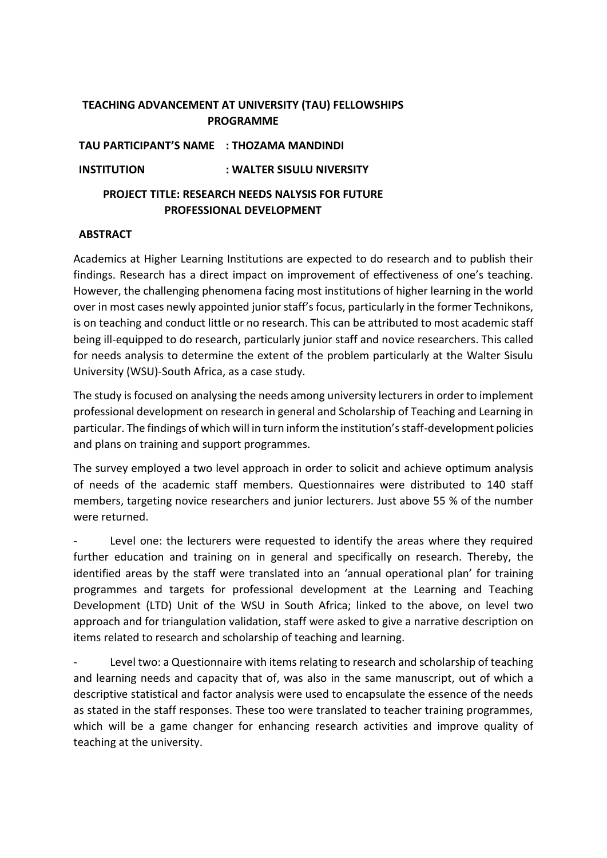# **TEACHING ADVANCEMENT AT UNIVERSITY (TAU) FELLOWSHIPS PROGRAMME**

**TAU PARTICIPANT'S NAME : THOZAMA MANDINDI** 

**INSTITUTION : WALTER SISULU NIVERSITY**

# **PROJECT TITLE: RESEARCH NEEDS NALYSIS FOR FUTURE PROFESSIONAL DEVELOPMENT**

# **ABSTRACT**

Academics at Higher Learning Institutions are expected to do research and to publish their findings. Research has a direct impact on improvement of effectiveness of one's teaching. However, the challenging phenomena facing most institutions of higher learning in the world over in most cases newly appointed junior staff's focus, particularly in the former Technikons, is on teaching and conduct little or no research. This can be attributed to most academic staff being ill-equipped to do research, particularly junior staff and novice researchers. This called for needs analysis to determine the extent of the problem particularly at the Walter Sisulu University (WSU)-South Africa, as a case study.

The study is focused on analysing the needs among university lecturers in order to implement professional development on research in general and Scholarship of Teaching and Learning in particular. The findings of which will in turn inform the institution's staff-development policies and plans on training and support programmes.

The survey employed a two level approach in order to solicit and achieve optimum analysis of needs of the academic staff members. Questionnaires were distributed to 140 staff members, targeting novice researchers and junior lecturers. Just above 55 % of the number were returned.

Level one: the lecturers were requested to identify the areas where they required further education and training on in general and specifically on research. Thereby, the identified areas by the staff were translated into an 'annual operational plan' for training programmes and targets for professional development at the Learning and Teaching Development (LTD) Unit of the WSU in South Africa; linked to the above, on level two approach and for triangulation validation, staff were asked to give a narrative description on items related to research and scholarship of teaching and learning.

Level two: a Questionnaire with items relating to research and scholarship of teaching and learning needs and capacity that of, was also in the same manuscript, out of which a descriptive statistical and factor analysis were used to encapsulate the essence of the needs as stated in the staff responses. These too were translated to teacher training programmes, which will be a game changer for enhancing research activities and improve quality of teaching at the university.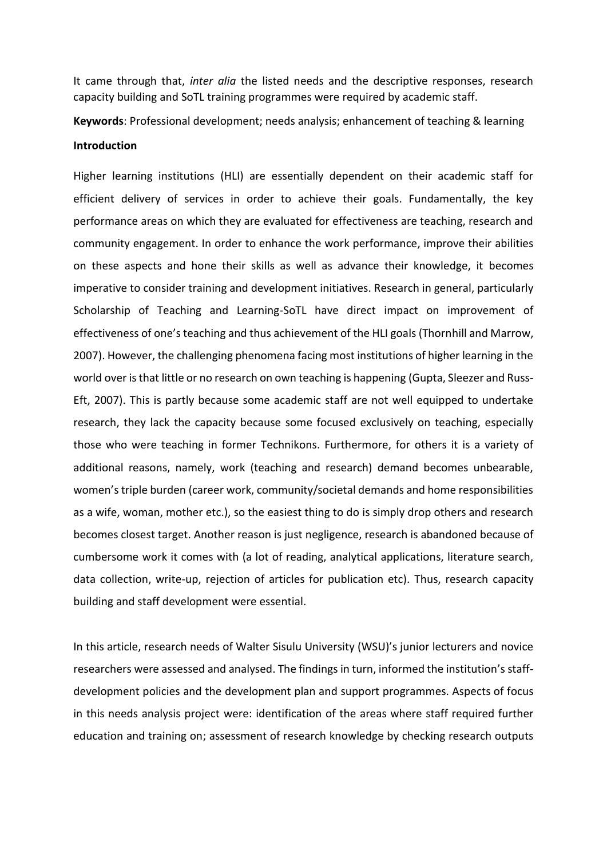It came through that, *inter alia* the listed needs and the descriptive responses, research capacity building and SoTL training programmes were required by academic staff.

**Keywords**: Professional development; needs analysis; enhancement of teaching & learning

#### **Introduction**

Higher learning institutions (HLI) are essentially dependent on their academic staff for efficient delivery of services in order to achieve their goals. Fundamentally, the key performance areas on which they are evaluated for effectiveness are teaching, research and community engagement. In order to enhance the work performance, improve their abilities on these aspects and hone their skills as well as advance their knowledge, it becomes imperative to consider training and development initiatives. Research in general, particularly Scholarship of Teaching and Learning-SoTL have direct impact on improvement of effectiveness of one's teaching and thus achievement of the HLI goals (Thornhill and Marrow, 2007). However, the challenging phenomena facing most institutions of higher learning in the world over is that little or no research on own teaching is happening (Gupta, Sleezer and Russ-Eft, 2007). This is partly because some academic staff are not well equipped to undertake research, they lack the capacity because some focused exclusively on teaching, especially those who were teaching in former Technikons. Furthermore, for others it is a variety of additional reasons, namely, work (teaching and research) demand becomes unbearable, women's triple burden (career work, community/societal demands and home responsibilities as a wife, woman, mother etc.), so the easiest thing to do is simply drop others and research becomes closest target. Another reason is just negligence, research is abandoned because of cumbersome work it comes with (a lot of reading, analytical applications, literature search, data collection, write-up, rejection of articles for publication etc). Thus, research capacity building and staff development were essential.

In this article, research needs of Walter Sisulu University (WSU)'s junior lecturers and novice researchers were assessed and analysed. The findings in turn, informed the institution's staffdevelopment policies and the development plan and support programmes. Aspects of focus in this needs analysis project were: identification of the areas where staff required further education and training on; assessment of research knowledge by checking research outputs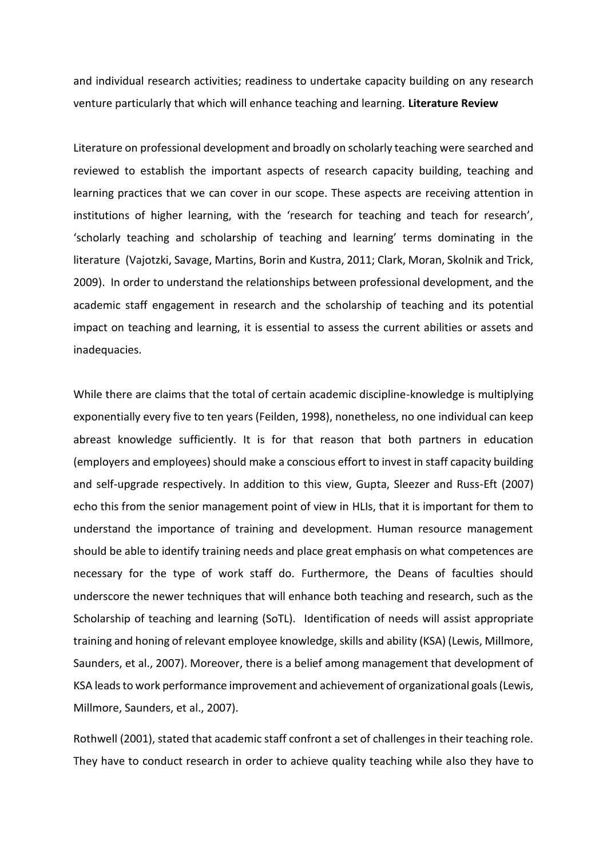and individual research activities; readiness to undertake capacity building on any research venture particularly that which will enhance teaching and learning. **Literature Review**

Literature on professional development and broadly on scholarly teaching were searched and reviewed to establish the important aspects of research capacity building, teaching and learning practices that we can cover in our scope. These aspects are receiving attention in institutions of higher learning, with the 'research for teaching and teach for research', 'scholarly teaching and scholarship of teaching and learning' terms dominating in the literature (Vajotzki, Savage, Martins, Borin and Kustra, 2011; Clark, Moran, Skolnik and Trick, 2009). In order to understand the relationships between professional development, and the academic staff engagement in research and the scholarship of teaching and its potential impact on teaching and learning, it is essential to assess the current abilities or assets and inadequacies.

While there are claims that the total of certain academic discipline-knowledge is multiplying exponentially every five to ten years (Feilden, 1998), nonetheless, no one individual can keep abreast knowledge sufficiently. It is for that reason that both partners in education (employers and employees) should make a conscious effort to invest in staff capacity building and self-upgrade respectively. In addition to this view, Gupta, Sleezer and Russ-Eft (2007) echo this from the senior management point of view in HLIs, that it is important for them to understand the importance of training and development. Human resource management should be able to identify training needs and place great emphasis on what competences are necessary for the type of work staff do. Furthermore, the Deans of faculties should underscore the newer techniques that will enhance both teaching and research, such as the Scholarship of teaching and learning (SoTL). Identification of needs will assist appropriate training and honing of relevant employee knowledge, skills and ability (KSA) (Lewis, Millmore, Saunders, et al., 2007). Moreover, there is a belief among management that development of KSA leads to work performance improvement and achievement of organizational goals (Lewis, Millmore, Saunders, et al., 2007).

Rothwell (2001), stated that academic staff confront a set of challenges in their teaching role. They have to conduct research in order to achieve quality teaching while also they have to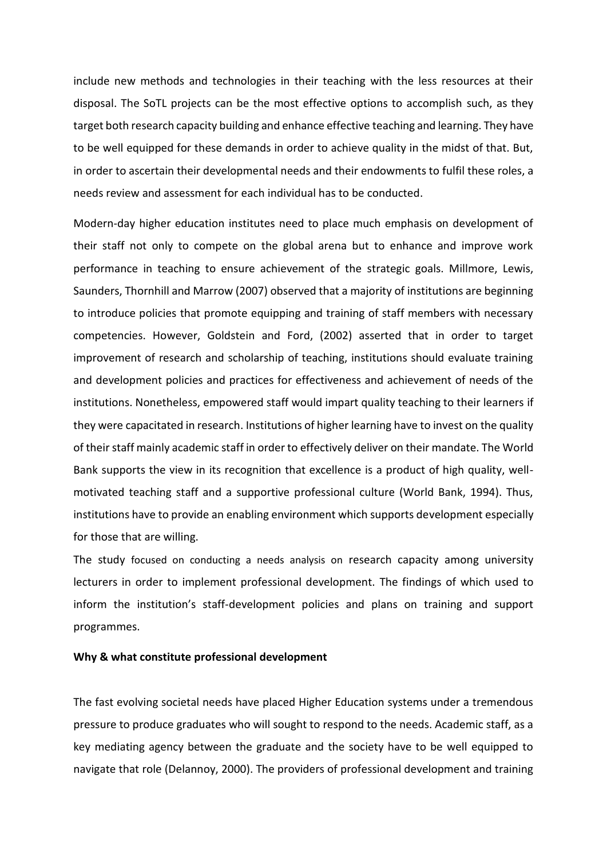include new methods and technologies in their teaching with the less resources at their disposal. The SoTL projects can be the most effective options to accomplish such, as they target both research capacity building and enhance effective teaching and learning. They have to be well equipped for these demands in order to achieve quality in the midst of that. But, in order to ascertain their developmental needs and their endowments to fulfil these roles, a needs review and assessment for each individual has to be conducted.

Modern-day higher education institutes need to place much emphasis on development of their staff not only to compete on the global arena but to enhance and improve work performance in teaching to ensure achievement of the strategic goals. Millmore, Lewis, Saunders, Thornhill and Marrow (2007) observed that a majority of institutions are beginning to introduce policies that promote equipping and training of staff members with necessary competencies. However, Goldstein and Ford, (2002) asserted that in order to target improvement of research and scholarship of teaching, institutions should evaluate training and development policies and practices for effectiveness and achievement of needs of the institutions. Nonetheless, empowered staff would impart quality teaching to their learners if they were capacitated in research. Institutions of higher learning have to invest on the quality of their staff mainly academic staff in order to effectively deliver on their mandate. The World Bank supports the view in its recognition that excellence is a product of high quality, wellmotivated teaching staff and a supportive professional culture (World Bank, 1994). Thus, institutions have to provide an enabling environment which supports development especially for those that are willing.

The study focused on conducting a needs analysis on research capacity among university lecturers in order to implement professional development. The findings of which used to inform the institution's staff-development policies and plans on training and support programmes.

### **Why & what constitute professional development**

The fast evolving societal needs have placed Higher Education systems under a tremendous pressure to produce graduates who will sought to respond to the needs. Academic staff, as a key mediating agency between the graduate and the society have to be well equipped to navigate that role (Delannoy, 2000). The providers of professional development and training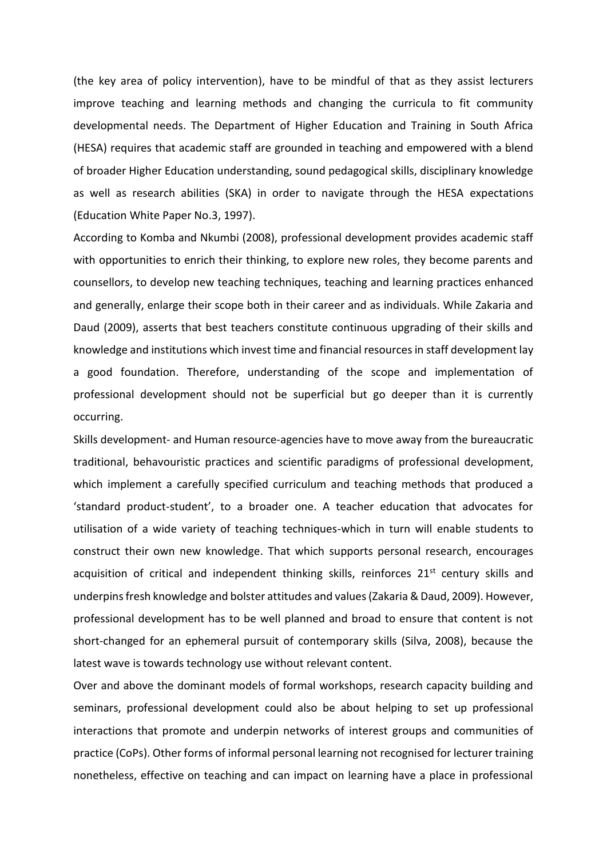(the key area of policy intervention), have to be mindful of that as they assist lecturers improve teaching and learning methods and changing the curricula to fit community developmental needs. The Department of Higher Education and Training in South Africa (HESA) requires that academic staff are grounded in teaching and empowered with a blend of broader Higher Education understanding, sound pedagogical skills, disciplinary knowledge as well as research abilities (SKA) in order to navigate through the HESA expectations (Education White Paper No.3, 1997).

According to Komba and Nkumbi (2008), professional development provides academic staff with opportunities to enrich their thinking, to explore new roles, they become parents and counsellors, to develop new teaching techniques, teaching and learning practices enhanced and generally, enlarge their scope both in their career and as individuals. While Zakaria and Daud (2009), asserts that best teachers constitute continuous upgrading of their skills and knowledge and institutions which invest time and financial resources in staff development lay a good foundation. Therefore, understanding of the scope and implementation of professional development should not be superficial but go deeper than it is currently occurring.

Skills development- and Human resource-agencies have to move away from the bureaucratic traditional, behavouristic practices and scientific paradigms of professional development, which implement a carefully specified curriculum and teaching methods that produced a 'standard product-student', to a broader one. A teacher education that advocates for utilisation of a wide variety of teaching techniques-which in turn will enable students to construct their own new knowledge. That which supports personal research, encourages acquisition of critical and independent thinking skills, reinforces 21<sup>st</sup> century skills and underpins fresh knowledge and bolster attitudes and values (Zakaria & Daud, 2009). However, professional development has to be well planned and broad to ensure that content is not short-changed for an ephemeral pursuit of contemporary skills (Silva, 2008), because the latest wave is towards technology use without relevant content.

Over and above the dominant models of formal workshops, research capacity building and seminars, professional development could also be about helping to set up professional interactions that promote and underpin networks of interest groups and communities of practice (CoPs). Other forms of informal personal learning not recognised for lecturer training nonetheless, effective on teaching and can impact on learning have a place in professional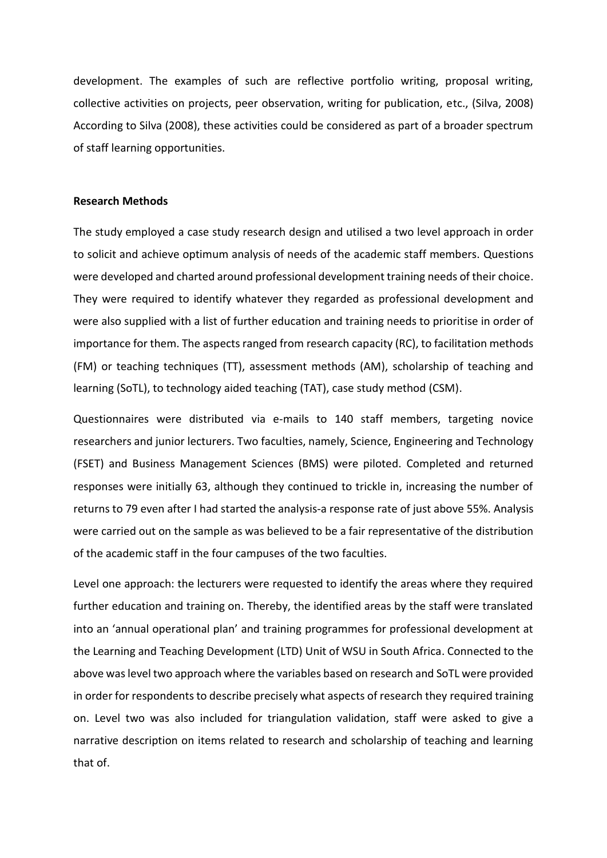development. The examples of such are reflective portfolio writing, proposal writing, collective activities on projects, peer observation, writing for publication, etc., (Silva, 2008) According to Silva (2008), these activities could be considered as part of a broader spectrum of staff learning opportunities.

# **Research Methods**

The study employed a case study research design and utilised a two level approach in order to solicit and achieve optimum analysis of needs of the academic staff members. Questions were developed and charted around professional development training needs of their choice. They were required to identify whatever they regarded as professional development and were also supplied with a list of further education and training needs to prioritise in order of importance for them. The aspects ranged from research capacity (RC), to facilitation methods (FM) or teaching techniques (TT), assessment methods (AM), scholarship of teaching and learning (SoTL), to technology aided teaching (TAT), case study method (CSM).

Questionnaires were distributed via e-mails to 140 staff members, targeting novice researchers and junior lecturers. Two faculties, namely, Science, Engineering and Technology (FSET) and Business Management Sciences (BMS) were piloted. Completed and returned responses were initially 63, although they continued to trickle in, increasing the number of returns to 79 even after I had started the analysis-a response rate of just above 55%. Analysis were carried out on the sample as was believed to be a fair representative of the distribution of the academic staff in the four campuses of the two faculties.

Level one approach: the lecturers were requested to identify the areas where they required further education and training on. Thereby, the identified areas by the staff were translated into an 'annual operational plan' and training programmes for professional development at the Learning and Teaching Development (LTD) Unit of WSU in South Africa. Connected to the above was level two approach where the variables based on research and SoTL were provided in order for respondents to describe precisely what aspects of research they required training on. Level two was also included for triangulation validation, staff were asked to give a narrative description on items related to research and scholarship of teaching and learning that of.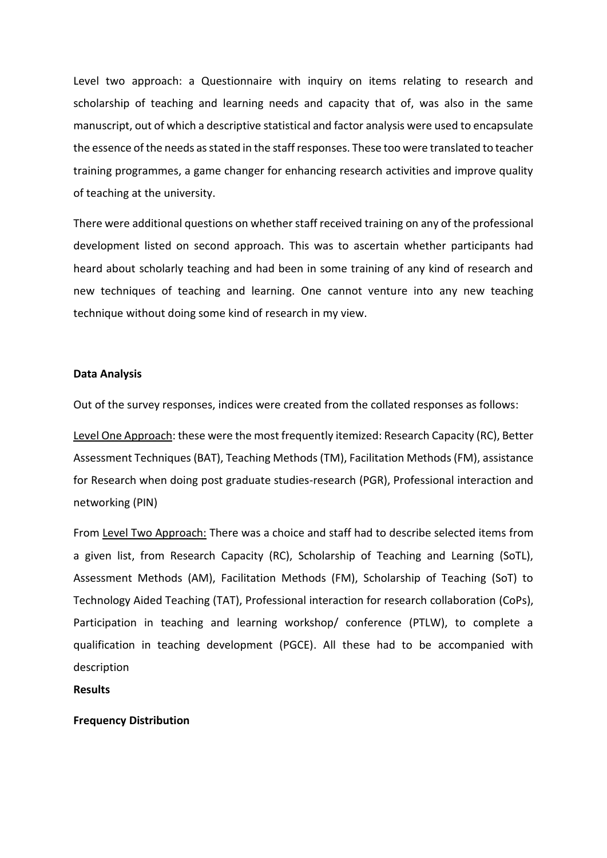Level two approach: a Questionnaire with inquiry on items relating to research and scholarship of teaching and learning needs and capacity that of, was also in the same manuscript, out of which a descriptive statistical and factor analysis were used to encapsulate the essence of the needs as stated in the staff responses. These too were translated to teacher training programmes, a game changer for enhancing research activities and improve quality of teaching at the university.

There were additional questions on whether staff received training on any of the professional development listed on second approach. This was to ascertain whether participants had heard about scholarly teaching and had been in some training of any kind of research and new techniques of teaching and learning. One cannot venture into any new teaching technique without doing some kind of research in my view.

#### **Data Analysis**

Out of the survey responses, indices were created from the collated responses as follows:

Level One Approach: these were the most frequently itemized: Research Capacity (RC), Better Assessment Techniques (BAT), Teaching Methods (TM), Facilitation Methods (FM), assistance for Research when doing post graduate studies-research (PGR), Professional interaction and networking (PIN)

From Level Two Approach: There was a choice and staff had to describe selected items from a given list, from Research Capacity (RC), Scholarship of Teaching and Learning (SoTL), Assessment Methods (AM), Facilitation Methods (FM), Scholarship of Teaching (SoT) to Technology Aided Teaching (TAT), Professional interaction for research collaboration (CoPs), Participation in teaching and learning workshop/ conference (PTLW), to complete a qualification in teaching development (PGCE). All these had to be accompanied with description

# **Results**

### **Frequency Distribution**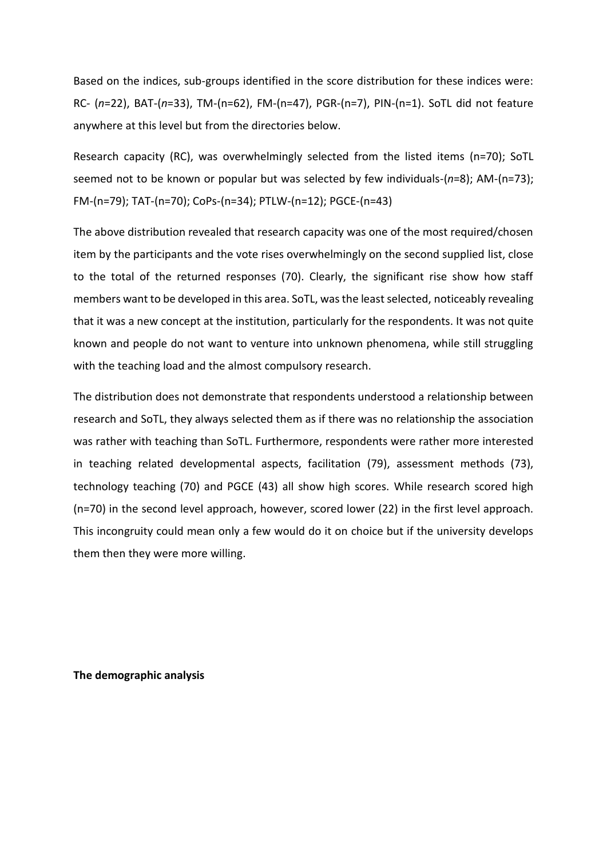Based on the indices, sub-groups identified in the score distribution for these indices were: RC- (*n*=22), BAT-(*n*=33), TM-(n=62), FM-(n=47), PGR-(n=7), PIN-(n=1). SoTL did not feature anywhere at this level but from the directories below.

Research capacity (RC), was overwhelmingly selected from the listed items (n=70); SoTL seemed not to be known or popular but was selected by few individuals-(*n*=8); AM-(n=73); FM-(n=79); TAT-(n=70); CoPs-(n=34); PTLW-(n=12); PGCE-(n=43)

The above distribution revealed that research capacity was one of the most required/chosen item by the participants and the vote rises overwhelmingly on the second supplied list, close to the total of the returned responses (70). Clearly, the significant rise show how staff members want to be developed in this area. SoTL, was the least selected, noticeably revealing that it was a new concept at the institution, particularly for the respondents. It was not quite known and people do not want to venture into unknown phenomena, while still struggling with the teaching load and the almost compulsory research.

The distribution does not demonstrate that respondents understood a relationship between research and SoTL, they always selected them as if there was no relationship the association was rather with teaching than SoTL. Furthermore, respondents were rather more interested in teaching related developmental aspects, facilitation (79), assessment methods (73), technology teaching (70) and PGCE (43) all show high scores. While research scored high (n=70) in the second level approach, however, scored lower (22) in the first level approach. This incongruity could mean only a few would do it on choice but if the university develops them then they were more willing.

**The demographic analysis**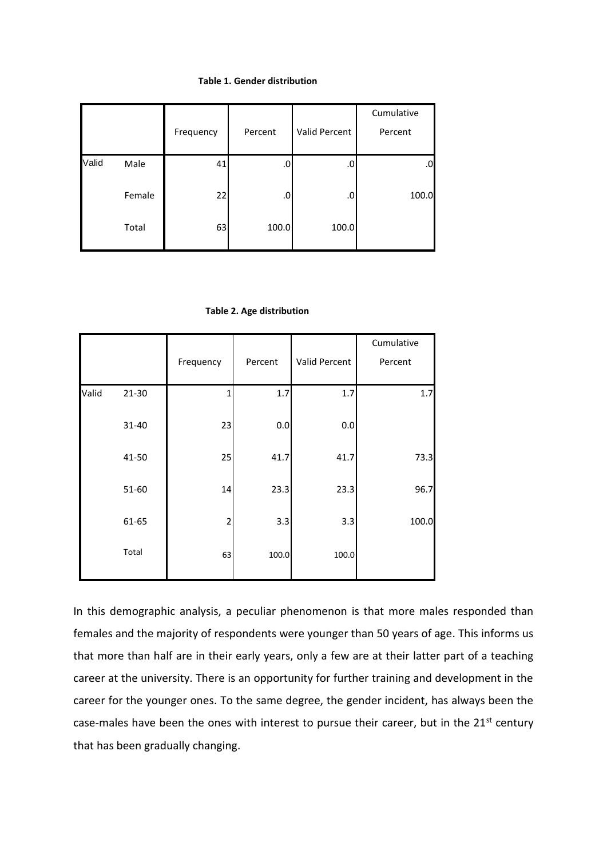## **Table 1. Gender distribution**

|       |        | Frequency | Percent | Valid Percent | Cumulative<br>Percent |
|-------|--------|-----------|---------|---------------|-----------------------|
| Valid | Male   | 41        | .0      | .0            | .0                    |
|       | Female | 22        | .0      | .0            | 100.0                 |
|       | Total  | 63        | 100.0   | 100.0         |                       |

|  |  |  | Table 2. Age distribution |
|--|--|--|---------------------------|
|--|--|--|---------------------------|

|       |         |                |         |               | Cumulative |
|-------|---------|----------------|---------|---------------|------------|
|       |         | Frequency      | Percent | Valid Percent | Percent    |
| Valid | $21-30$ | 1              | 1.7     | 1.7           | 1.7        |
|       | 31-40   | 23             | 0.0     | $0.0\,$       |            |
|       | 41-50   | 25             | 41.7    | 41.7          | 73.3       |
|       | 51-60   | 14             | 23.3    | 23.3          | 96.7       |
|       | 61-65   | $\overline{c}$ | 3.3     | 3.3           | 100.0      |
|       | Total   | 63             | 100.0   | 100.0         |            |

In this demographic analysis, a peculiar phenomenon is that more males responded than females and the majority of respondents were younger than 50 years of age. This informs us that more than half are in their early years, only a few are at their latter part of a teaching career at the university. There is an opportunity for further training and development in the career for the younger ones. To the same degree, the gender incident, has always been the case-males have been the ones with interest to pursue their career, but in the 21<sup>st</sup> century that has been gradually changing.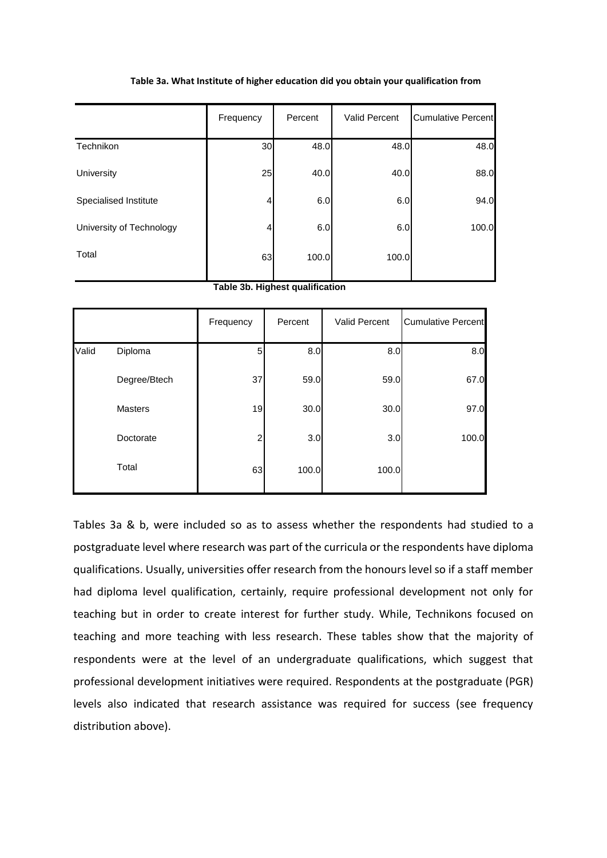|                          | Frequency | Percent | <b>Valid Percent</b> | <b>Cumulative Percent</b> |
|--------------------------|-----------|---------|----------------------|---------------------------|
| Technikon                | 30        | 48.0    | 48.0                 | 48.0                      |
| University               | 25        | 40.0    | 40.0                 | 88.0                      |
| Specialised Institute    | 4         | 6.0     | 6.0                  | 94.0                      |
| University of Technology | 4         | 6.0     | 6.0                  | 100.0                     |
| Total                    | 63        | 100.0   | 100.0                |                           |

#### **Table 3a. What Institute of higher education did you obtain your qualification from**

#### **Table 3b. Highest qualification**

|       |              | Frequency | Percent | Valid Percent | <b>Cumulative Percent</b> |
|-------|--------------|-----------|---------|---------------|---------------------------|
| Valid | Diploma      | 5         | 8.0     | 8.0           | 8.0                       |
|       | Degree/Btech | 37        | 59.0    | 59.0          | 67.0                      |
|       | Masters      | 19        | 30.0    | 30.0          | 97.0                      |
|       | Doctorate    | 2         | 3.0     | 3.0           | 100.0                     |
|       | Total        | 63        | 100.0   | 100.0         |                           |

Tables 3a & b, were included so as to assess whether the respondents had studied to a postgraduate level where research was part of the curricula or the respondents have diploma qualifications. Usually, universities offer research from the honours level so if a staff member had diploma level qualification, certainly, require professional development not only for teaching but in order to create interest for further study. While, Technikons focused on teaching and more teaching with less research. These tables show that the majority of respondents were at the level of an undergraduate qualifications, which suggest that professional development initiatives were required. Respondents at the postgraduate (PGR) levels also indicated that research assistance was required for success (see frequency distribution above).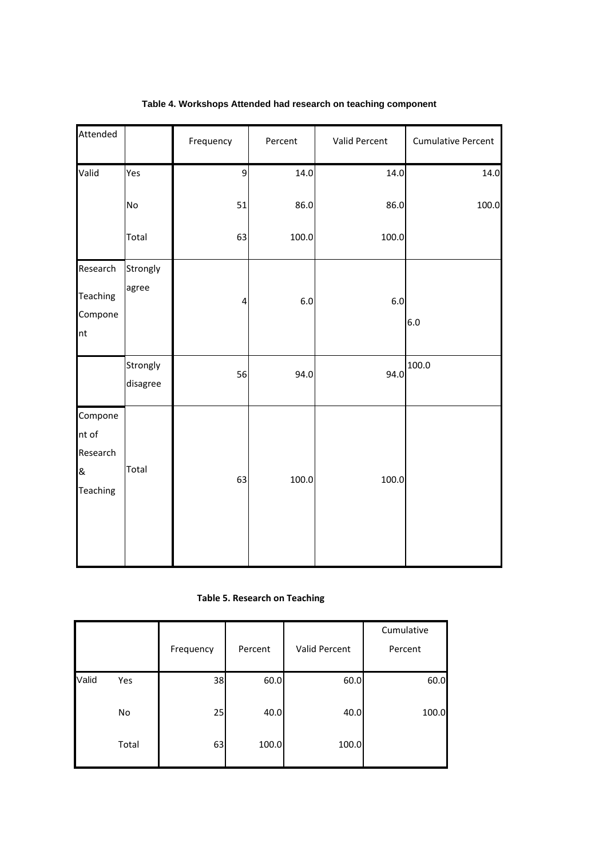| Attended                                             |                      | Frequency | Percent | Valid Percent | <b>Cumulative Percent</b> |
|------------------------------------------------------|----------------------|-----------|---------|---------------|---------------------------|
| Valid                                                | Yes                  | 9         | 14.0    | 14.0          | 14.0                      |
|                                                      | <b>No</b>            | 51        | 86.0    | 86.0          | 100.0                     |
|                                                      | Total                | 63        | 100.0   | 100.0         |                           |
| Research<br>Teaching<br>Compone<br>nt                | Strongly<br>agree    | 4         | $6.0\,$ | $6.0$         | 6.0                       |
|                                                      | Strongly<br>disagree | 56        | 94.0    | 94.0          | 100.0                     |
| Compone<br>nt of<br>Research<br>&<br><b>Teaching</b> | Total                | 63        | 100.0   | 100.0         |                           |

# **Table 4. Workshops Attended had research on teaching component**

**Table 5. Research on Teaching**

|       |       | Frequency | Percent | Valid Percent | Cumulative<br>Percent |
|-------|-------|-----------|---------|---------------|-----------------------|
| Valid | Yes   | 38        | 60.0    | 60.0          | 60.0                  |
|       | No    | 25        | 40.0    | 40.0          | 100.0                 |
|       | Total | 63        | 100.0   | 100.0         |                       |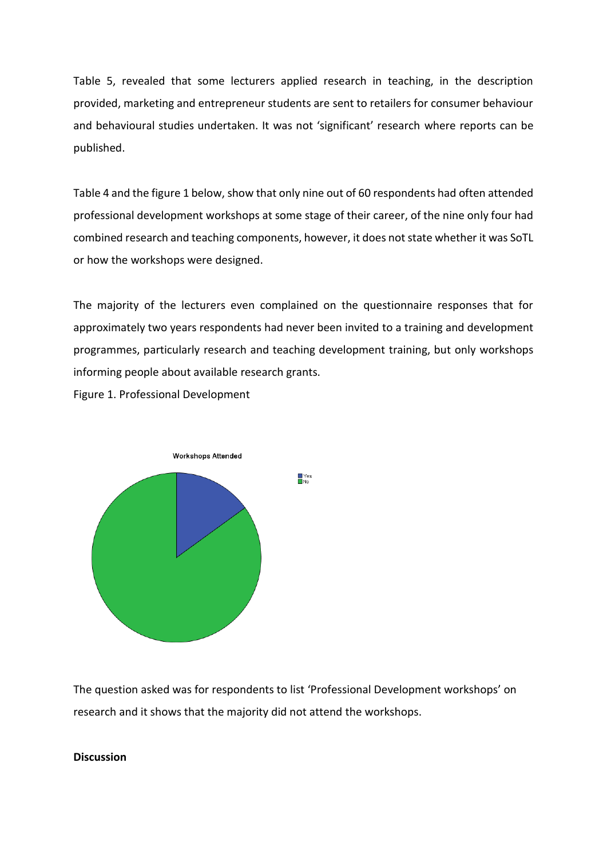Table 5, revealed that some lecturers applied research in teaching, in the description provided, marketing and entrepreneur students are sent to retailers for consumer behaviour and behavioural studies undertaken. It was not 'significant' research where reports can be published.

Table 4 and the figure 1 below, show that only nine out of 60 respondents had often attended professional development workshops at some stage of their career, of the nine only four had combined research and teaching components, however, it does not state whether it was SoTL or how the workshops were designed.

The majority of the lecturers even complained on the questionnaire responses that for approximately two years respondents had never been invited to a training and development programmes, particularly research and teaching development training, but only workshops informing people about available research grants.

Figure 1. Professional Development



The question asked was for respondents to list 'Professional Development workshops' on research and it shows that the majority did not attend the workshops.

# **Discussion**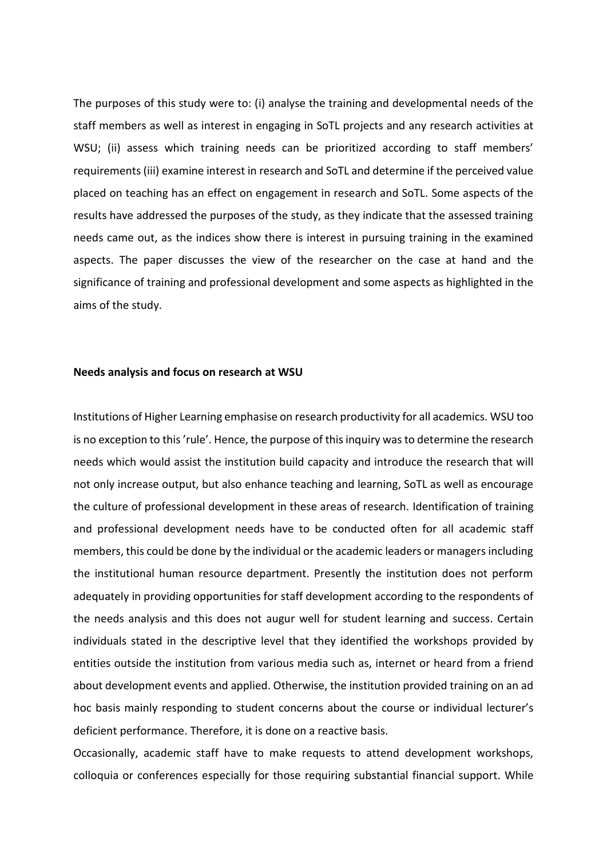The purposes of this study were to: (i) analyse the training and developmental needs of the staff members as well as interest in engaging in SoTL projects and any research activities at WSU; (ii) assess which training needs can be prioritized according to staff members' requirements (iii) examine interest in research and SoTL and determine if the perceived value placed on teaching has an effect on engagement in research and SoTL. Some aspects of the results have addressed the purposes of the study, as they indicate that the assessed training needs came out, as the indices show there is interest in pursuing training in the examined aspects. The paper discusses the view of the researcher on the case at hand and the significance of training and professional development and some aspects as highlighted in the aims of the study.

### **Needs analysis and focus on research at WSU**

Institutions of Higher Learning emphasise on research productivity for all academics. WSU too is no exception to this 'rule'. Hence, the purpose of this inquiry was to determine the research needs which would assist the institution build capacity and introduce the research that will not only increase output, but also enhance teaching and learning, SoTL as well as encourage the culture of professional development in these areas of research. Identification of training and professional development needs have to be conducted often for all academic staff members, this could be done by the individual or the academic leaders or managers including the institutional human resource department. Presently the institution does not perform adequately in providing opportunities for staff development according to the respondents of the needs analysis and this does not augur well for student learning and success. Certain individuals stated in the descriptive level that they identified the workshops provided by entities outside the institution from various media such as, internet or heard from a friend about development events and applied. Otherwise, the institution provided training on an ad hoc basis mainly responding to student concerns about the course or individual lecturer's deficient performance. Therefore, it is done on a reactive basis.

Occasionally, academic staff have to make requests to attend development workshops, colloquia or conferences especially for those requiring substantial financial support. While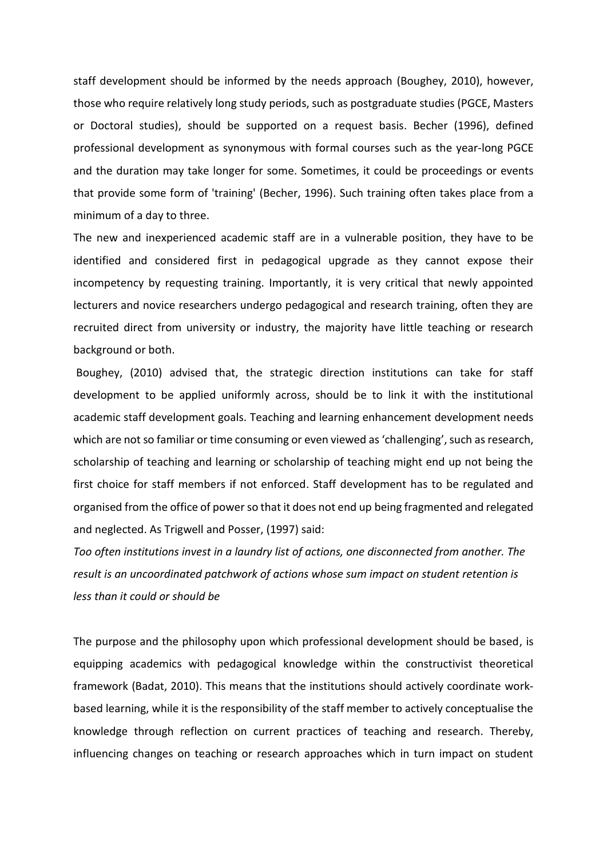staff development should be informed by the needs approach (Boughey, 2010), however, those who require relatively long study periods, such as postgraduate studies (PGCE, Masters or Doctoral studies), should be supported on a request basis. Becher (1996), defined professional development as synonymous with formal courses such as the year-long PGCE and the duration may take longer for some. Sometimes, it could be proceedings or events that provide some form of 'training' (Becher, 1996). Such training often takes place from a minimum of a day to three.

The new and inexperienced academic staff are in a vulnerable position, they have to be identified and considered first in pedagogical upgrade as they cannot expose their incompetency by requesting training. Importantly, it is very critical that newly appointed lecturers and novice researchers undergo pedagogical and research training, often they are recruited direct from university or industry, the majority have little teaching or research background or both.

Boughey, (2010) advised that, the strategic direction institutions can take for staff development to be applied uniformly across, should be to link it with the institutional academic staff development goals. Teaching and learning enhancement development needs which are not so familiar or time consuming or even viewed as 'challenging', such as research, scholarship of teaching and learning or scholarship of teaching might end up not being the first choice for staff members if not enforced. Staff development has to be regulated and organised from the office of power so that it does not end up being fragmented and relegated and neglected. As Trigwell and Posser, (1997) said:

*Too often institutions invest in a laundry list of actions, one disconnected from another. The result is an uncoordinated patchwork of actions whose sum impact on student retention is less than it could or should be*

The purpose and the philosophy upon which professional development should be based, is equipping academics with pedagogical knowledge within the constructivist theoretical framework (Badat, 2010). This means that the institutions should actively coordinate workbased learning, while it is the responsibility of the staff member to actively conceptualise the knowledge through reflection on current practices of teaching and research. Thereby, influencing changes on teaching or research approaches which in turn impact on student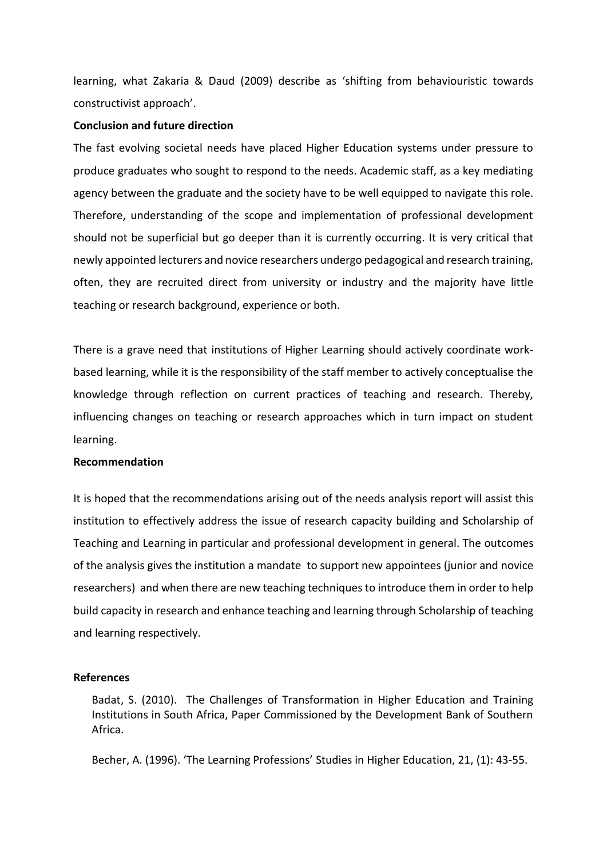learning, what Zakaria & Daud (2009) describe as 'shifting from behaviouristic towards constructivist approach'.

# **Conclusion and future direction**

The fast evolving societal needs have placed Higher Education systems under pressure to produce graduates who sought to respond to the needs. Academic staff, as a key mediating agency between the graduate and the society have to be well equipped to navigate this role. Therefore, understanding of the scope and implementation of professional development should not be superficial but go deeper than it is currently occurring. It is very critical that newly appointed lecturers and novice researchers undergo pedagogical and research training, often, they are recruited direct from university or industry and the majority have little teaching or research background, experience or both.

There is a grave need that institutions of Higher Learning should actively coordinate workbased learning, while it is the responsibility of the staff member to actively conceptualise the knowledge through reflection on current practices of teaching and research. Thereby, influencing changes on teaching or research approaches which in turn impact on student learning.

# **Recommendation**

It is hoped that the recommendations arising out of the needs analysis report will assist this institution to effectively address the issue of research capacity building and Scholarship of Teaching and Learning in particular and professional development in general. The outcomes of the analysis gives the institution a mandate to support new appointees (junior and novice researchers) and when there are new teaching techniques to introduce them in order to help build capacity in research and enhance teaching and learning through Scholarship of teaching and learning respectively.

# **References**

Badat, S. (2010). The Challenges of Transformation in Higher Education and Training Institutions in South Africa, Paper Commissioned by the Development Bank of Southern Africa.

Becher, A. (1996). 'The Learning Professions' Studies in Higher Education, 21, (1): 43-55.